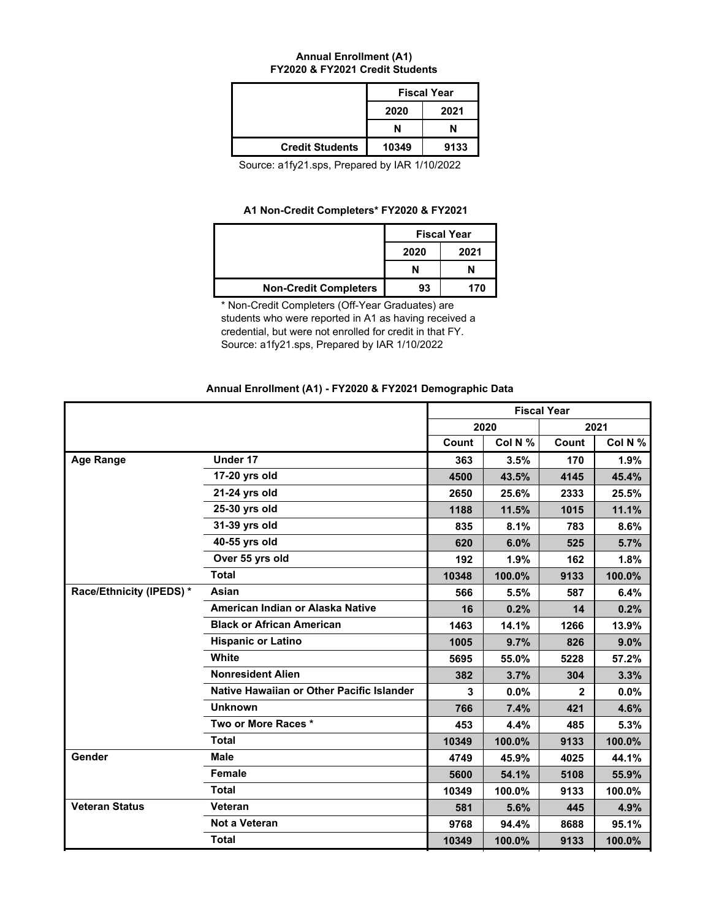## **Annual Enrollment (A1) FY2020 & FY2021 Credit Students**

|                        | <b>Fiscal Year</b> |      |  |
|------------------------|--------------------|------|--|
|                        | 2020               | 2021 |  |
|                        | N<br>N             |      |  |
| <b>Credit Students</b> | 10349              | 9133 |  |

Source: a1fy21.sps, Prepared by IAR 1/10/2022

## **A1 Non-Credit Completers\* FY2020 & FY2021**

|                              |      | <b>Fiscal Year</b> |
|------------------------------|------|--------------------|
|                              | 2020 | 2021               |
|                              | N    | N                  |
| <b>Non-Credit Completers</b> | 93   | 170                |

\* Non-Credit Completers (Off-Year Graduates) are students who were reported in A1 as having received a credential, but were not enrolled for credit in that FY. Source: a1fy21.sps, Prepared by IAR 1/10/2022

## **Annual Enrollment (A1) - FY2020 & FY2021 Demographic Data**

|                          |                                           | <b>Fiscal Year</b> |         |              |         |
|--------------------------|-------------------------------------------|--------------------|---------|--------------|---------|
|                          |                                           |                    | 2020    |              | 2021    |
|                          |                                           | Count              | Col N % | Count        | Col N % |
| <b>Age Range</b>         | Under 17                                  | 363                | 3.5%    | 170          | 1.9%    |
|                          | 17-20 yrs old                             | 4500               | 43.5%   | 4145         | 45.4%   |
|                          | 21-24 yrs old                             | 2650               | 25.6%   | 2333         | 25.5%   |
|                          | 25-30 yrs old                             | 1188               | 11.5%   | 1015         | 11.1%   |
|                          | 31-39 yrs old                             | 835                | 8.1%    | 783          | 8.6%    |
|                          | 40-55 yrs old                             | 620                | 6.0%    | 525          | 5.7%    |
|                          | Over 55 yrs old                           | 192                | 1.9%    | 162          | 1.8%    |
|                          | <b>Total</b>                              | 10348              | 100.0%  | 9133         | 100.0%  |
| Race/Ethnicity (IPEDS) * | Asian                                     | 566                | 5.5%    | 587          | 6.4%    |
|                          | American Indian or Alaska Native          | 16                 | 0.2%    | 14           | 0.2%    |
|                          | <b>Black or African American</b>          | 1463               | 14.1%   | 1266         | 13.9%   |
|                          | <b>Hispanic or Latino</b>                 | 1005               | 9.7%    | 826          | 9.0%    |
|                          | White                                     | 5695               | 55.0%   | 5228         | 57.2%   |
|                          | <b>Nonresident Alien</b>                  | 382                | 3.7%    | 304          | 3.3%    |
|                          | Native Hawaiian or Other Pacific Islander | 3                  | 0.0%    | $\mathbf{2}$ | $0.0\%$ |
|                          | <b>Unknown</b>                            | 766                | 7.4%    | 421          | 4.6%    |
|                          | Two or More Races *                       | 453                | 4.4%    | 485          | 5.3%    |
|                          | <b>Total</b>                              | 10349              | 100.0%  | 9133         | 100.0%  |
| Gender                   | <b>Male</b>                               | 4749               | 45.9%   | 4025         | 44.1%   |
|                          | Female                                    | 5600               | 54.1%   | 5108         | 55.9%   |
|                          | <b>Total</b>                              | 10349              | 100.0%  | 9133         | 100.0%  |
| <b>Veteran Status</b>    | Veteran                                   | 581                | 5.6%    | 445          | 4.9%    |
|                          | <b>Not a Veteran</b>                      | 9768               | 94.4%   | 8688         | 95.1%   |
|                          | <b>Total</b>                              | 10349              | 100.0%  | 9133         | 100.0%  |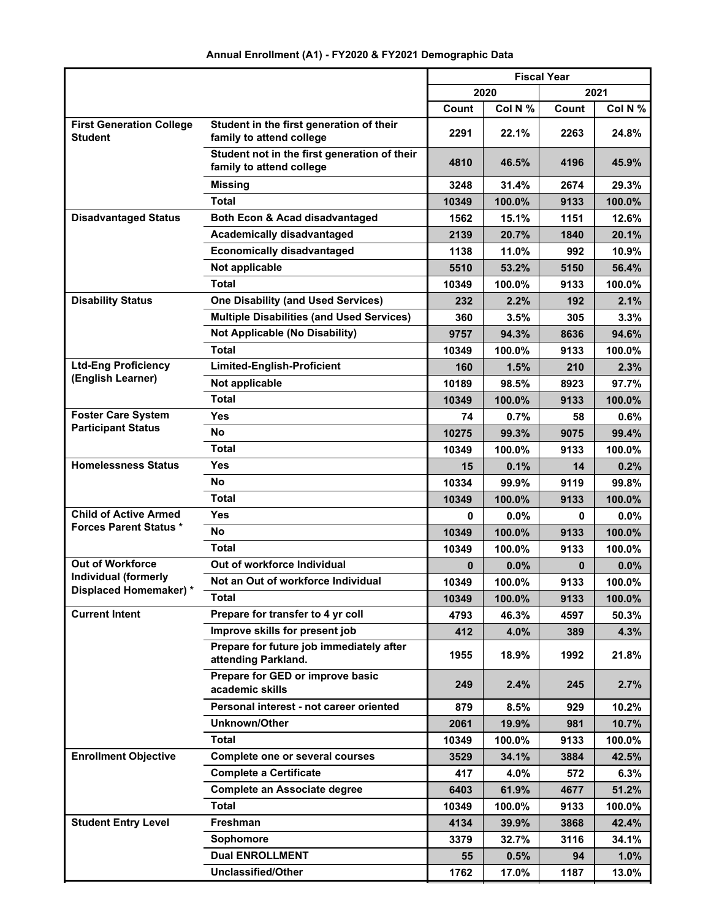|                                                |                                                                          | <b>Fiscal Year</b> |         |       |         |
|------------------------------------------------|--------------------------------------------------------------------------|--------------------|---------|-------|---------|
|                                                |                                                                          |                    | 2020    |       | 2021    |
|                                                |                                                                          | Count              | Col N % | Count | Col N % |
| <b>First Generation College</b><br>Student     | Student in the first generation of their<br>family to attend college     | 2291               | 22.1%   | 2263  | 24.8%   |
|                                                | Student not in the first generation of their<br>family to attend college | 4810               | 46.5%   | 4196  | 45.9%   |
|                                                | <b>Missing</b>                                                           | 3248               | 31.4%   | 2674  | 29.3%   |
|                                                | <b>Total</b>                                                             | 10349              | 100.0%  | 9133  | 100.0%  |
| <b>Disadvantaged Status</b>                    | Both Econ & Acad disadvantaged                                           | 1562               | 15.1%   | 1151  | 12.6%   |
|                                                | <b>Academically disadvantaged</b>                                        | 2139               | 20.7%   | 1840  | 20.1%   |
|                                                | <b>Economically disadvantaged</b>                                        | 1138               | 11.0%   | 992   | 10.9%   |
|                                                | Not applicable                                                           | 5510               | 53.2%   | 5150  | 56.4%   |
|                                                | <b>Total</b>                                                             | 10349              | 100.0%  | 9133  | 100.0%  |
| <b>Disability Status</b>                       | <b>One Disability (and Used Services)</b>                                | 232                | 2.2%    | 192   | 2.1%    |
|                                                | <b>Multiple Disabilities (and Used Services)</b>                         | 360                | 3.5%    | 305   | 3.3%    |
|                                                | <b>Not Applicable (No Disability)</b>                                    | 9757               | 94.3%   | 8636  | 94.6%   |
|                                                | <b>Total</b>                                                             | 10349              | 100.0%  | 9133  | 100.0%  |
| <b>Ltd-Eng Proficiency</b>                     | <b>Limited-English-Proficient</b>                                        | 160                | 1.5%    | 210   | 2.3%    |
| (English Learner)                              | Not applicable                                                           | 10189              | 98.5%   | 8923  | 97.7%   |
|                                                | Total                                                                    | 10349              | 100.0%  | 9133  | 100.0%  |
| <b>Foster Care System</b>                      | Yes                                                                      | 74                 | 0.7%    | 58    | $0.6\%$ |
| <b>Participant Status</b>                      | <b>No</b>                                                                | 10275              | 99.3%   | 9075  | 99.4%   |
|                                                | <b>Total</b>                                                             | 10349              | 100.0%  | 9133  | 100.0%  |
| <b>Homelessness Status</b>                     | Yes                                                                      | 15                 | 0.1%    | 14    | 0.2%    |
|                                                | No                                                                       | 10334              | 99.9%   | 9119  | 99.8%   |
|                                                | <b>Total</b>                                                             | 10349              | 100.0%  | 9133  | 100.0%  |
| <b>Child of Active Armed</b>                   | Yes                                                                      | 0                  | 0.0%    | 0     | $0.0\%$ |
| <b>Forces Parent Status *</b>                  | No                                                                       | 10349              | 100.0%  | 9133  | 100.0%  |
|                                                | <b>Total</b>                                                             | 10349              | 100.0%  | 9133  | 100.0%  |
| <b>Out of Workforce</b>                        | Out of workforce Individual                                              | $\bf{0}$           | 0.0%    | 0     | 0.0%    |
| Individual (formerly<br>Displaced Homemaker) * | Not an Out of workforce Individual                                       | 10349              | 100.0%  | 9133  | 100.0%  |
|                                                | <b>Total</b>                                                             | 10349              | 100.0%  | 9133  | 100.0%  |
| <b>Current Intent</b>                          | Prepare for transfer to 4 yr coll                                        | 4793               | 46.3%   | 4597  | 50.3%   |
|                                                | Improve skills for present job                                           | 412                | 4.0%    | 389   | 4.3%    |
|                                                | Prepare for future job immediately after<br>attending Parkland.          | 1955               | 18.9%   | 1992  | 21.8%   |
|                                                | Prepare for GED or improve basic<br>academic skills                      | 249                | 2.4%    | 245   | 2.7%    |
|                                                | Personal interest - not career oriented                                  | 879                | 8.5%    | 929   | 10.2%   |
|                                                | Unknown/Other                                                            | 2061               | 19.9%   | 981   | 10.7%   |
|                                                | <b>Total</b>                                                             | 10349              | 100.0%  | 9133  | 100.0%  |
| <b>Enrollment Objective</b>                    | Complete one or several courses                                          | 3529               | 34.1%   | 3884  | 42.5%   |
|                                                | <b>Complete a Certificate</b>                                            | 417                | 4.0%    | 572   | 6.3%    |
|                                                | <b>Complete an Associate degree</b>                                      | 6403               | 61.9%   | 4677  | 51.2%   |
|                                                | <b>Total</b>                                                             | 10349              | 100.0%  | 9133  | 100.0%  |
| <b>Student Entry Level</b>                     | Freshman                                                                 | 4134               | 39.9%   | 3868  | 42.4%   |
|                                                | Sophomore                                                                | 3379               | 32.7%   | 3116  | 34.1%   |
|                                                | <b>Dual ENROLLMENT</b>                                                   | 55                 | 0.5%    | 94    | 1.0%    |
|                                                | Unclassified/Other                                                       | 1762               | 17.0%   | 1187  | 13.0%   |

# **Annual Enrollment (A1) - FY2020 & FY2021 Demographic Data**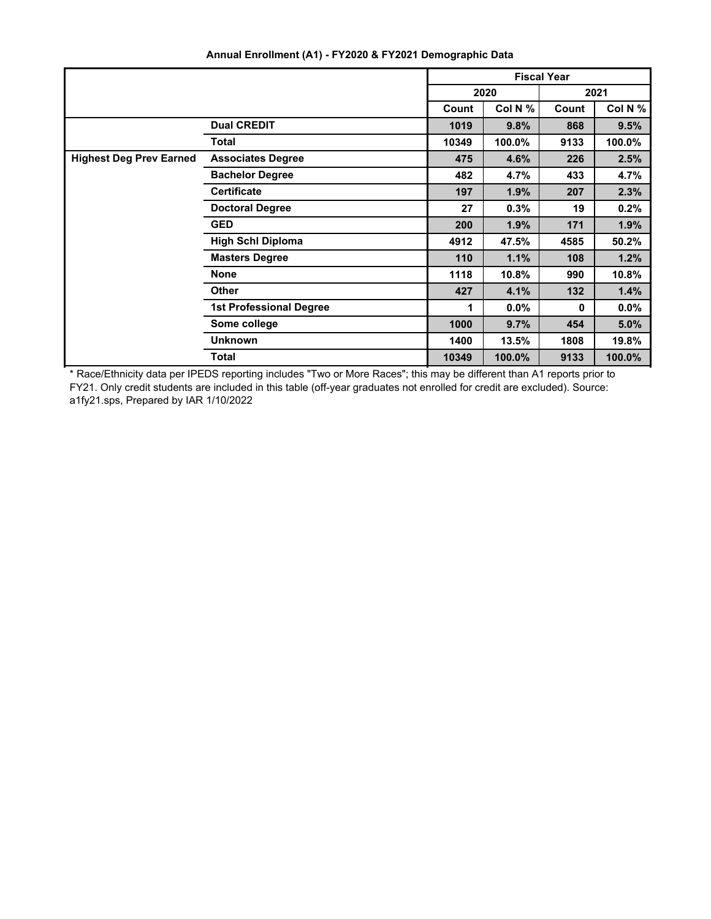|                                |                                | <b>Fiscal Year</b> |         |              |         |
|--------------------------------|--------------------------------|--------------------|---------|--------------|---------|
|                                |                                | 2020<br>2021       |         |              |         |
|                                |                                | Count              | Col N % | Count        | Col N % |
|                                | <b>Dual CREDIT</b>             | 1019               | 9.8%    | 868          | 9.5%    |
|                                | <b>Total</b>                   | 10349              | 100.0%  | 9133         | 100.0%  |
| <b>Highest Deg Prev Earned</b> | <b>Associates Degree</b>       | 475                | 4.6%    | 226          | 2.5%    |
|                                | <b>Bachelor Degree</b>         | 482                | 4.7%    | 433          | 4.7%    |
|                                | <b>Certificate</b>             | 197                | 1.9%    | 207          | 2.3%    |
|                                | <b>Doctoral Degree</b>         | 27                 | 0.3%    | 19           | 0.2%    |
|                                | <b>GED</b>                     | 200                | 1.9%    | 171          | 1.9%    |
|                                | <b>High Schl Diploma</b>       | 4912               | 47.5%   | 4585         | 50.2%   |
|                                | <b>Masters Degree</b>          | 110                | 1.1%    | 108          | 1.2%    |
|                                | <b>None</b>                    | 1118               | 10.8%   | 990          | 10.8%   |
|                                | <b>Other</b>                   | 427                | 4.1%    | 132          | 1.4%    |
|                                | <b>1st Professional Degree</b> | 1                  | $0.0\%$ | $\mathbf{0}$ | $0.0\%$ |
|                                | Some college                   | 1000               | 9.7%    | 454          | 5.0%    |
|                                | <b>Unknown</b>                 | 1400               | 13.5%   | 1808         | 19.8%   |
|                                | Total                          | 10349              | 100.0%  | 9133         | 100.0%  |

**Annual Enrollment (A1) - FY2020 & FY2021 Demographic Data**

\* Race/Ethnicity data per IPEDS reporting includes "Two or More Races"; this may be different than A1 reports prior to FY21. Only credit students are included in this table (off-year graduates not enrolled for credit are excluded). Source: a1fy21.sps, Prepared by IAR 1/10/2022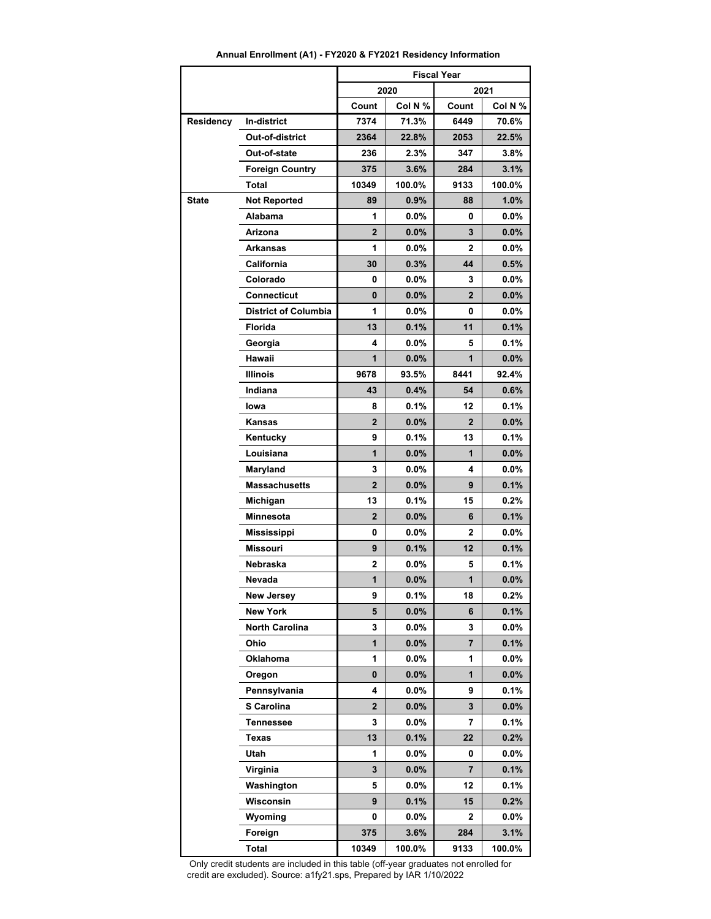| Annual Enrollment (A1) - FY2020 & FY2021 Residency Information |  |  |
|----------------------------------------------------------------|--|--|
|----------------------------------------------------------------|--|--|

|              |                             | <b>Fiscal Year</b> |         |                         |         |
|--------------|-----------------------------|--------------------|---------|-------------------------|---------|
|              |                             |                    | 2020    |                         | 2021    |
|              |                             | Count              | Col N % | Count                   | Col N % |
| Residency    | <b>In-district</b>          | 7374               | 71.3%   | 6449                    | 70.6%   |
|              | Out-of-district             | 2364               | 22.8%   | 2053                    | 22.5%   |
|              | Out-of-state                | 236                | 2.3%    | 347                     | 3.8%    |
|              | <b>Foreign Country</b>      | 375                | 3.6%    | 284                     | 3.1%    |
|              | Total                       | 10349              | 100.0%  | 9133                    | 100.0%  |
| <b>State</b> | <b>Not Reported</b>         | 89                 | 0.9%    | 88                      | 1.0%    |
|              | Alabama                     | 1                  | $0.0\%$ | 0                       | $0.0\%$ |
|              | Arizona                     | $\overline{2}$     | 0.0%    | 3                       | 0.0%    |
|              | Arkansas                    | 1                  | $0.0\%$ | $\mathbf{2}$            | $0.0\%$ |
|              | California                  | 30                 | 0.3%    | 44                      | 0.5%    |
|              | Colorado                    | 0                  | $0.0\%$ | 3                       | $0.0\%$ |
|              | Connecticut                 | 0                  | $0.0\%$ | $\mathbf{2}$            | $0.0\%$ |
|              | <b>District of Columbia</b> | 1                  | $0.0\%$ | 0                       | $0.0\%$ |
|              | Florida                     | 13                 | 0.1%    | 11                      | 0.1%    |
|              | Georgia                     | 4                  | $0.0\%$ | 5                       | 0.1%    |
|              | Hawaii                      | 1                  | $0.0\%$ | 1                       | $0.0\%$ |
|              | <b>Illinois</b>             | 9678               | 93.5%   | 8441                    | 92.4%   |
|              | Indiana                     | 43                 | 0.4%    | 54                      | 0.6%    |
|              | Iowa                        | 8                  | 0.1%    | 12                      | 0.1%    |
|              | Kansas                      | $\overline{2}$     | $0.0\%$ | $\overline{2}$          | $0.0\%$ |
|              | Kentucky                    | 9                  | 0.1%    | 13                      | 0.1%    |
|              | Louisiana                   | 1                  | $0.0\%$ | 1                       | $0.0\%$ |
|              | Maryland                    | 3                  | $0.0\%$ | 4                       | $0.0\%$ |
|              | <b>Massachusetts</b>        | $\overline{2}$     | $0.0\%$ | 9                       | 0.1%    |
|              | Michigan                    | 13                 | 0.1%    | 15                      | $0.2\%$ |
|              | Minnesota                   | $\overline{2}$     | 0.0%    | 6                       | 0.1%    |
|              | <b>Mississippi</b>          | 0                  | $0.0\%$ | 2                       | $0.0\%$ |
|              | <b>Missouri</b>             | 9                  | 0.1%    | 12                      | 0.1%    |
|              | Nebraska                    | 2                  | $0.0\%$ | 5                       | 0.1%    |
|              | Nevada                      | 1                  | 0.0%    | 1                       | 0.0%    |
|              | <b>New Jersey</b>           | 9                  | 0.1%    | 18                      | 0.2%    |
|              | <b>New York</b>             | 5                  | $0.0\%$ | 6                       | 0.1%    |
|              | North Carolina              | 3                  | 0.0%    | 3                       | 0.0%    |
|              | Ohio                        | $\mathbf{1}$       | $0.0\%$ | $\overline{\mathbf{r}}$ | 0.1%    |
|              | Oklahoma                    | 1                  | 0.0%    | 1                       | 0.0%    |
|              | Oregon                      | $\mathbf 0$        | $0.0\%$ | $\mathbf{1}$            | 0.0%    |
|              | Pennsylvania                | 4                  | 0.0%    | 9                       | 0.1%    |
|              | S Carolina                  | 2                  | $0.0\%$ | 3                       | $0.0\%$ |
|              | <b>Tennessee</b>            | 3                  | $0.0\%$ | 7                       | 0.1%    |
|              | Texas                       | 13                 | 0.1%    | 22                      | 0.2%    |
|              | Utah                        | 1                  | 0.0%    | 0                       | 0.0%    |
|              | Virginia                    | 3                  | 0.0%    | 7                       | 0.1%    |
|              | Washington                  | 5                  | $0.0\%$ | 12                      | 0.1%    |
|              | Wisconsin                   | 9                  | 0.1%    | 15                      | 0.2%    |
|              | Wyoming                     | 0                  | 0.0%    | 2                       | 0.0%    |
|              | Foreign                     | 375                | 3.6%    | 284                     | 3.1%    |
|              | Total                       | 10349              | 100.0%  | 9133                    | 100.0%  |

 Only credit students are included in this table (off-year graduates not enrolled for credit are excluded). Source: a1fy21.sps, Prepared by IAR 1/10/2022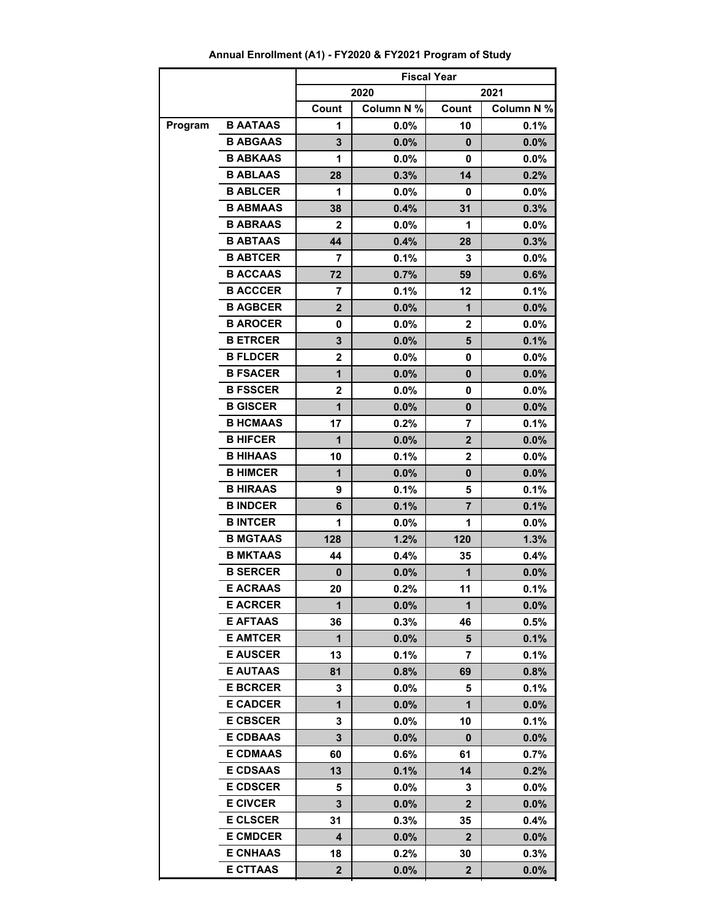|         |                 | <b>Fiscal Year</b> |            |                |            |  |
|---------|-----------------|--------------------|------------|----------------|------------|--|
|         |                 |                    | 2020       |                | 2021       |  |
|         |                 | Count              | Column N % | Count          | Column N % |  |
| Program | <b>B AATAAS</b> | 1                  | $0.0\%$    | 10             | 0.1%       |  |
|         | <b>B ABGAAS</b> | 3                  | 0.0%       | 0              | 0.0%       |  |
|         | <b>B ABKAAS</b> | 1                  | $0.0\%$    | 0              | $0.0\%$    |  |
|         | <b>B ABLAAS</b> | 28                 | 0.3%       | 14             | 0.2%       |  |
|         | <b>B ABLCER</b> | 1                  | 0.0%       | 0              | $0.0\%$    |  |
|         | <b>B ABMAAS</b> | 38                 | 0.4%       | 31             | 0.3%       |  |
|         | <b>B ABRAAS</b> | $\mathbf{2}$       | 0.0%       | 1              | $0.0\%$    |  |
|         | <b>B ABTAAS</b> | 44                 | 0.4%       | 28             | 0.3%       |  |
|         | <b>B ABTCER</b> | 7                  | 0.1%       | 3              | $0.0\%$    |  |
|         | <b>B ACCAAS</b> | 72                 | 0.7%       | 59             | 0.6%       |  |
|         | <b>B ACCCER</b> | 7                  | 0.1%       | 12             | 0.1%       |  |
|         | <b>B AGBCER</b> | $\overline{2}$     | 0.0%       | 1              | 0.0%       |  |
|         | <b>B AROCER</b> | 0                  | 0.0%       | $\mathbf{2}$   | $0.0\%$    |  |
|         | <b>B ETRCER</b> | 3                  | 0.0%       | 5              | 0.1%       |  |
|         | <b>B FLDCER</b> | $\overline{2}$     | 0.0%       | 0              | $0.0\%$    |  |
|         | <b>B FSACER</b> | 1                  | 0.0%       | $\bf{0}$       | 0.0%       |  |
|         | <b>B FSSCER</b> | $\overline{2}$     | 0.0%       | 0              | $0.0\%$    |  |
|         | <b>B GISCER</b> | $\mathbf{1}$       | 0.0%       | 0              | $0.0\%$    |  |
|         | <b>B HCMAAS</b> | 17                 | 0.2%       | 7              | 0.1%       |  |
|         | <b>B HIFCER</b> | 1                  | 0.0%       | $\mathbf{2}$   | 0.0%       |  |
|         | <b>B HIHAAS</b> | 10                 | 0.1%       | $\overline{2}$ | $0.0\%$    |  |
|         | <b>B HIMCER</b> | 1                  | 0.0%       | $\bf{0}$       | $0.0\%$    |  |
|         | <b>B HIRAAS</b> | 9                  | 0.1%       | 5              | 0.1%       |  |
|         | <b>B INDCER</b> | 6                  | 0.1%       | $\overline{7}$ | 0.1%       |  |
|         | <b>B INTCER</b> | 1                  | 0.0%       | 1              | $0.0\%$    |  |
|         | <b>B MGTAAS</b> | 128                | 1.2%       | 120            | 1.3%       |  |
|         | <b>B MKTAAS</b> | 44                 | 0.4%       | 35             | 0.4%       |  |
|         | <b>B SERCER</b> | 0                  | 0.0%       | 1              | $0.0\%$    |  |
|         | <b>E ACRAAS</b> | 20                 | 0.2%       | 11             | 0.1%       |  |
|         | <b>E ACRCER</b> | 1                  | 0.0%       | 1              | 0.0%       |  |
|         | <b>E AFTAAS</b> | 36                 | 0.3%       | 46             | 0.5%       |  |
|         | <b>E AMTCER</b> | 1                  | 0.0%       | 5              | 0.1%       |  |
|         | <b>E AUSCER</b> | 13                 | 0.1%       | 7              | 0.1%       |  |
|         | <b>E AUTAAS</b> | 81                 | 0.8%       | 69             | 0.8%       |  |
|         | <b>E BCRCER</b> | 3                  | $0.0\%$    | 5              | $0.1\%$    |  |
|         | <b>E CADCER</b> | 1                  | 0.0%       | 1              | $0.0\%$    |  |
|         | <b>E CBSCER</b> | 3                  | $0.0\%$    | 10             | 0.1%       |  |
|         | <b>E CDBAAS</b> | 3                  | 0.0%       | 0              | $0.0\%$    |  |
|         | <b>E CDMAAS</b> | 60                 | $0.6\%$    | 61             | $0.7\%$    |  |
|         | <b>E CDSAAS</b> | 13                 | 0.1%       | 14             | 0.2%       |  |
|         | <b>E CDSCER</b> | 5                  | $0.0\%$    | 3              | $0.0\%$    |  |
|         | <b>E CIVCER</b> | 3                  | $0.0\%$    | $\mathbf{2}$   | 0.0%       |  |
|         | <b>E CLSCER</b> | 31                 | 0.3%       | 35             | 0.4%       |  |
|         | <b>E CMDCER</b> | 4                  | 0.0%       | $\mathbf{2}$   | 0.0%       |  |
|         | <b>E CNHAAS</b> | 18                 | 0.2%       | 30             | 0.3%       |  |
|         | <b>E CTTAAS</b> | 2                  | 0.0%       | 2              | 0.0%       |  |

# **Annual Enrollment (A1) - FY2020 & FY2021 Program of Study**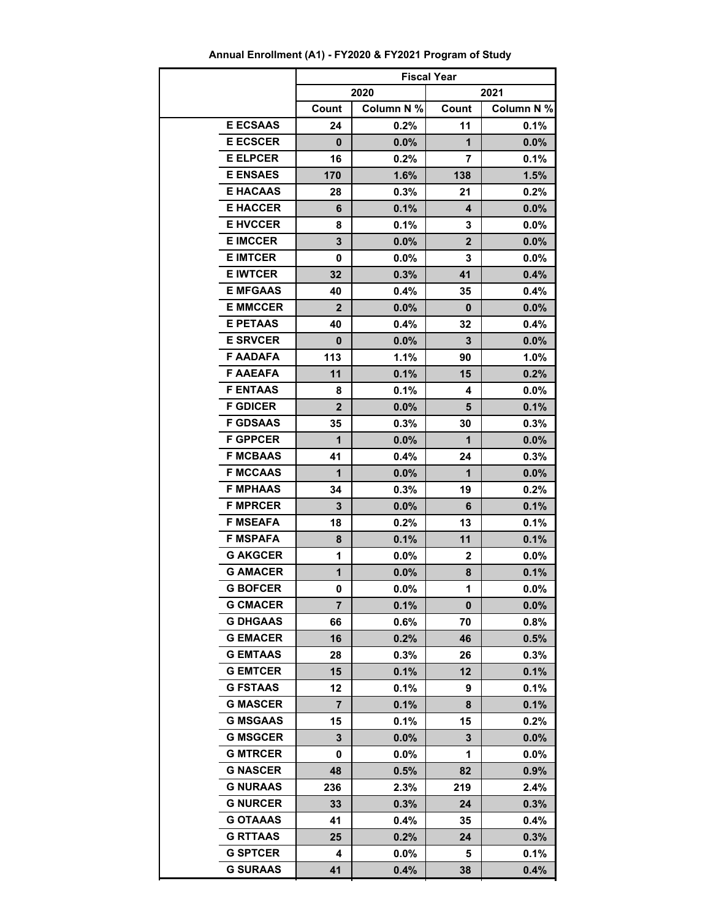|                 | <b>Fiscal Year</b> |            |              |            |  |
|-----------------|--------------------|------------|--------------|------------|--|
|                 |                    | 2020       |              | 2021       |  |
|                 | Count              | Column N % | Count        | Column N % |  |
| <b>E ECSAAS</b> | 24                 | 0.2%       | 11           | 0.1%       |  |
| <b>E ECSCER</b> | 0                  | 0.0%       | $\mathbf 1$  | 0.0%       |  |
| <b>E ELPCER</b> | 16                 | 0.2%       | 7            | 0.1%       |  |
| <b>E ENSAES</b> | 170                | 1.6%       | 138          | 1.5%       |  |
| <b>E HACAAS</b> | 28                 | 0.3%       | 21           | $0.2\%$    |  |
| <b>E HACCER</b> | 6                  | 0.1%       | 4            | $0.0\%$    |  |
| <b>E HVCCER</b> | 8                  | 0.1%       | 3            | $0.0\%$    |  |
| <b>E IMCCER</b> | 3                  | 0.0%       | $\mathbf{2}$ | $0.0\%$    |  |
| <b>E IMTCER</b> | 0                  | $0.0\%$    | 3            | $0.0\%$    |  |
| <b>E IWTCER</b> | 32                 | 0.3%       | 41           | 0.4%       |  |
| <b>E MFGAAS</b> | 40                 | 0.4%       | 35           | $0.4\%$    |  |
| <b>E MMCCER</b> | $\overline{2}$     | 0.0%       | 0            | $0.0\%$    |  |
| <b>E PETAAS</b> | 40                 | 0.4%       | 32           | 0.4%       |  |
| <b>E SRVCER</b> | 0                  | 0.0%       | 3            | $0.0\%$    |  |
| <b>F AADAFA</b> | 113                | 1.1%       | 90           | 1.0%       |  |
| <b>F AAEAFA</b> | 11                 | 0.1%       | 15           | 0.2%       |  |
| <b>F ENTAAS</b> | 8                  | 0.1%       | 4            | $0.0\%$    |  |
| <b>F GDICER</b> | $\overline{2}$     | 0.0%       | 5            | 0.1%       |  |
| <b>F GDSAAS</b> | 35                 | 0.3%       | 30           | 0.3%       |  |
| <b>F GPPCER</b> | $\mathbf{1}$       | $0.0\%$    | $\mathbf 1$  | $0.0\%$    |  |
| <b>F MCBAAS</b> | 41                 | 0.4%       | 24           | 0.3%       |  |
| <b>F MCCAAS</b> | 1                  | 0.0%       | 1            | $0.0\%$    |  |
| <b>F MPHAAS</b> | 34                 | 0.3%       | 19           | 0.2%       |  |
| <b>F MPRCER</b> | 3                  | 0.0%       | 6            | 0.1%       |  |
| <b>F MSEAFA</b> | 18                 | $0.2\%$    | 13           | 0.1%       |  |
| <b>F MSPAFA</b> | 8                  | 0.1%       | 11           | 0.1%       |  |
| <b>G AKGCER</b> | 1                  | $0.0\%$    | 2            | $0.0\%$    |  |
| <b>G AMACER</b> | 1                  | 0.0%       | 8            | 0.1%       |  |
| <b>G BOFCER</b> | 0                  | $0.0\%$    | 1            | $0.0\%$    |  |
| <b>G CMACER</b> | 7                  | 0.1%       | 0            | 0.0%       |  |
| <b>G DHGAAS</b> | 66                 | 0.6%       | 70           | 0.8%       |  |
| <b>G EMACER</b> | 16                 | 0.2%       | 46           | 0.5%       |  |
| <b>G EMTAAS</b> | 28                 | 0.3%       | 26           | 0.3%       |  |
| <b>G EMTCER</b> | 15                 | 0.1%       | 12           | 0.1%       |  |
| <b>G FSTAAS</b> | 12                 | 0.1%       | 9            | 0.1%       |  |
| <b>G MASCER</b> | 7                  | 0.1%       | 8            | 0.1%       |  |
| <b>G MSGAAS</b> | 15                 | 0.1%       | 15           | $0.2\%$    |  |
| <b>G MSGCER</b> | 3                  | 0.0%       | 3            | $0.0\%$    |  |
| <b>G MTRCER</b> | 0                  | $0.0\%$    | 1            | $0.0\%$    |  |
| <b>G NASCER</b> | 48                 | 0.5%       | 82           | 0.9%       |  |
| <b>G NURAAS</b> | 236                | 2.3%       | 219          | 2.4%       |  |
| <b>G NURCER</b> | 33                 | 0.3%       | 24           | 0.3%       |  |
| <b>G OTAAAS</b> | 41                 | 0.4%       | 35           | 0.4%       |  |
| <b>G RTTAAS</b> | 25                 | 0.2%       | 24           | 0.3%       |  |
| <b>G SPTCER</b> | 4                  | $0.0\%$    | 5            | $0.1\%$    |  |
| <b>G SURAAS</b> | 41                 | 0.4%       | 38           | 0.4%       |  |

**41 0.4% 38 0.4%**

# **Annual Enrollment (A1) - FY2020 & FY2021 Program of Study**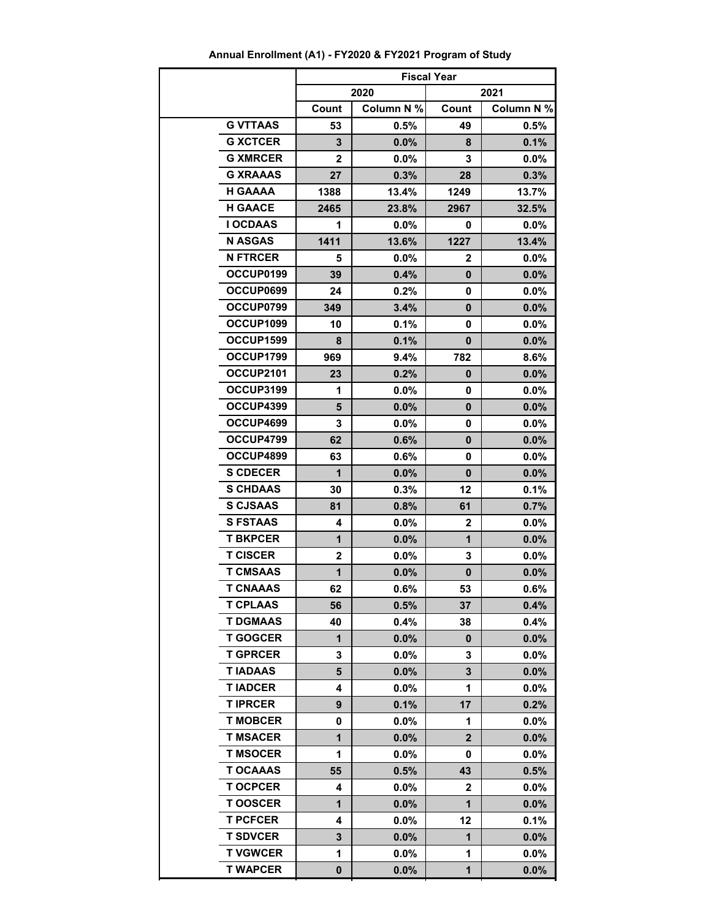|                 | <b>Fiscal Year</b> |            |                |            |
|-----------------|--------------------|------------|----------------|------------|
|                 |                    | 2020       |                | 2021       |
|                 | Count              | Column N % | Count          | Column N % |
| <b>G VTTAAS</b> | 53                 | 0.5%       | 49             | 0.5%       |
| <b>G XCTCER</b> | 3                  | 0.0%       | 8              | 0.1%       |
| <b>G XMRCER</b> | 2                  | $0.0\%$    | 3              | $0.0\%$    |
| <b>G XRAAAS</b> | 27                 | 0.3%       | 28             | 0.3%       |
| <b>H GAAAA</b>  | 1388               | 13.4%      | 1249           | 13.7%      |
| <b>H GAACE</b>  | 2465               | 23.8%      | 2967           | 32.5%      |
| <b>I OCDAAS</b> | 1                  | $0.0\%$    | 0              | $0.0\%$    |
| <b>N ASGAS</b>  | 1411               | 13.6%      | 1227           | 13.4%      |
| <b>N FTRCER</b> | 5                  | $0.0\%$    | 2              | $0.0\%$    |
| OCCUP0199       | 39                 | 0.4%       | $\mathbf{0}$   | 0.0%       |
| OCCUP0699       | 24                 | 0.2%       | 0              | $0.0\%$    |
| OCCUP0799       | 349                | 3.4%       | $\mathbf{0}$   | 0.0%       |
| OCCUP1099       | 10                 | 0.1%       | 0              | $0.0\%$    |
| OCCUP1599       | 8                  | 0.1%       | 0              | $0.0\%$    |
| OCCUP1799       | 969                | 9.4%       | 782            | 8.6%       |
| OCCUP2101       | 23                 | 0.2%       | 0              | 0.0%       |
| OCCUP3199       | 1                  | $0.0\%$    | 0              | $0.0\%$    |
| OCCUP4399       | 5                  | 0.0%       | $\mathbf{0}$   | 0.0%       |
| OCCUP4699       | 3                  | $0.0\%$    | 0              | $0.0\%$    |
| OCCUP4799       | 62                 | 0.6%       | $\mathbf{0}$   | 0.0%       |
| OCCUP4899       | 63                 | 0.6%       | 0              | $0.0\%$    |
| <b>S CDECER</b> | 1                  | 0.0%       | 0              | $0.0\%$    |
| <b>S CHDAAS</b> | 30                 | 0.3%       | 12             | 0.1%       |
| <b>S CJSAAS</b> | 81                 | 0.8%       | 61             | 0.7%       |
| <b>S FSTAAS</b> | 4                  | $0.0\%$    | 2              | $0.0\%$    |
| <b>T BKPCER</b> | $\mathbf{1}$       | 0.0%       | $\mathbf 1$    | 0.0%       |
| <b>T CISCER</b> | $\mathbf 2$        | $0.0\%$    | 3              | $0.0\%$    |
| <b>T CMSAAS</b> | 1                  | 0.0%       | 0              | 0.0%       |
| <b>T CNAAAS</b> | 62                 | 0.6%       | 53             | 0.6%       |
| <b>T CPLAAS</b> | 56                 | 0.5%       | 37             | 0.4%       |
| <b>T DGMAAS</b> | 40                 | 0.4%       | 38             | 0.4%       |
| <b>T GOGCER</b> | 1                  | $0.0\%$    | 0              | $0.0\%$    |
| <b>T GPRCER</b> | 3                  | $0.0\%$    | 3              | 0.0%       |
| <b>TIADAAS</b>  | 5                  | 0.0%       | 3              | 0.0%       |
| <b>TIADCER</b>  | 4                  | 0.0%       | 1              | $0.0\%$    |
| <b>TIPRCER</b>  | 9                  | 0.1%       | 17             | 0.2%       |
| <b>T MOBCER</b> | 0                  | $0.0\%$    | 1              | $0.0\%$    |
| <b>T MSACER</b> | 1                  | 0.0%       | $\overline{2}$ | 0.0%       |
| <b>T MSOCER</b> | 1                  | $0.0\%$    | 0              | $0.0\%$    |
| <b>T OCAAAS</b> | 55                 | 0.5%       | 43             | 0.5%       |
| <b>TOCPCER</b>  | 4                  | $0.0\%$    | $\mathbf{2}$   | $0.0\%$    |
| <b>TOOSCER</b>  | 1                  | 0.0%       | 1              | 0.0%       |
| <b>T PCFCER</b> | 4                  | $0.0\%$    | 12             | 0.1%       |
| <b>T SDVCER</b> | 3                  | 0.0%       | 1              | 0.0%       |
| <b>T VGWCER</b> | 1                  | $0.0\%$    | 1              | $0.0\%$    |
| <b>T WAPCER</b> | $\mathbf 0$        | 0.0%       | 1              | 0.0%       |

**Annual Enrollment (A1) - FY2020 & FY2021 Program of Study**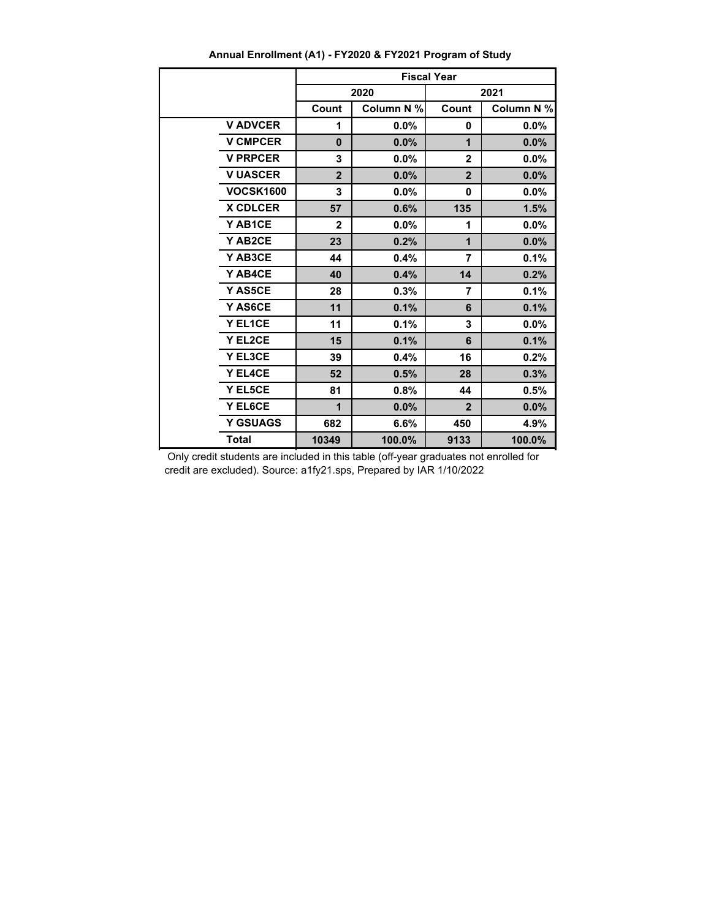|                  | <b>Fiscal Year</b> |            |                |            |  |
|------------------|--------------------|------------|----------------|------------|--|
|                  |                    | 2020       |                | 2021       |  |
|                  | Count              | Column N % | Count          | Column N % |  |
| <b>V ADVCER</b>  | 1                  | $0.0\%$    | 0              | $0.0\%$    |  |
| <b>V CMPCER</b>  | $\bf{0}$           | 0.0%       | 1              | 0.0%       |  |
| <b>V PRPCER</b>  | 3                  | $0.0\%$    | $\mathbf{2}$   | 0.0%       |  |
| <b>V UASCER</b>  | $\overline{2}$     | $0.0\%$    | $\overline{2}$ | 0.0%       |  |
| <b>VOCSK1600</b> | 3                  | 0.0%       | 0              | 0.0%       |  |
| <b>X CDLCER</b>  | 57                 | 0.6%       | 135            | 1.5%       |  |
| Y AB1CE          | $\mathbf{2}$       | 0.0%       | 1              | 0.0%       |  |
| Y AB2CE          | 23                 | 0.2%       | 1              | 0.0%       |  |
| Y AB3CE          | 44                 | 0.4%       | 7              | 0.1%       |  |
| Y AB4CE          | 40                 | 0.4%       | 14             | 0.2%       |  |
| Y AS5CE          | 28                 | 0.3%       | $\overline{7}$ | 0.1%       |  |
| Y AS6CE          | 11                 | 0.1%       | 6              | 0.1%       |  |
| Y EL1CE          | 11                 | 0.1%       | 3              | $0.0\%$    |  |
| Y EL2CE          | 15                 | 0.1%       | 6              | 0.1%       |  |
| Y EL3CE          | 39                 | 0.4%       | 16             | 0.2%       |  |
| Y EL4CE          | 52                 | 0.5%       | 28             | 0.3%       |  |
| Y EL5CE          | 81                 | 0.8%       | 44             | 0.5%       |  |
| Y EL6CE          | 1                  | $0.0\%$    | $\overline{2}$ | 0.0%       |  |
| <b>Y GSUAGS</b>  | 682                | 6.6%       | 450            | 4.9%       |  |
| <b>Total</b>     | 10349              | 100.0%     | 9133           | 100.0%     |  |

**Annual Enrollment (A1) - FY2020 & FY2021 Program of Study**

 Only credit students are included in this table (off-year graduates not enrolled for credit are excluded). Source: a1fy21.sps, Prepared by IAR 1/10/2022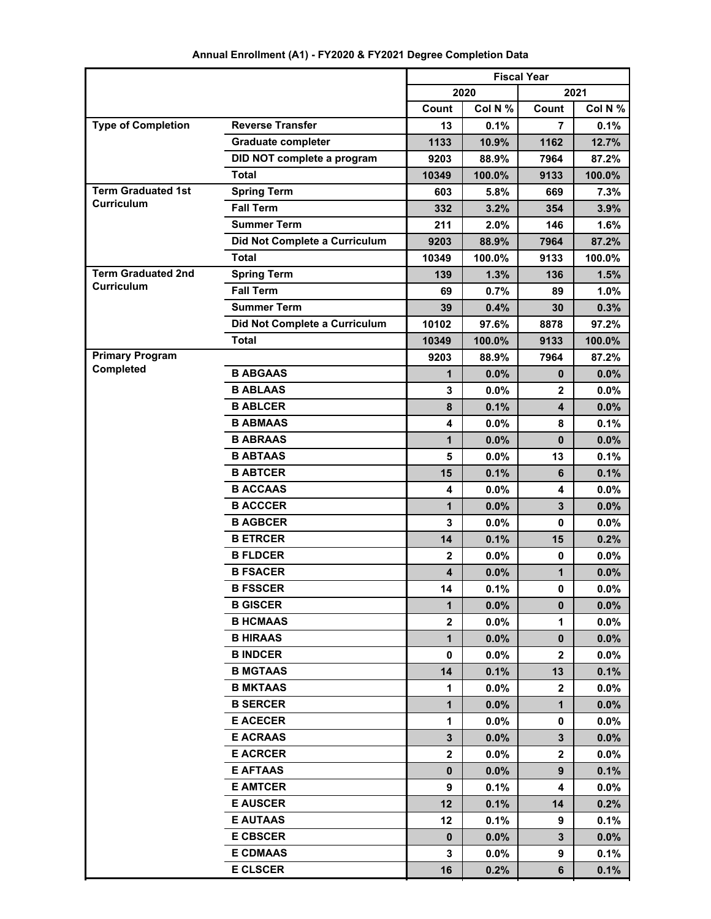|                                                |                               | <b>Fiscal Year</b> |         |                 |         |
|------------------------------------------------|-------------------------------|--------------------|---------|-----------------|---------|
|                                                |                               |                    | 2020    |                 | 2021    |
|                                                |                               | Count              | Col N % | Count           | Col N % |
| <b>Type of Completion</b>                      | <b>Reverse Transfer</b>       | 13                 | 0.1%    | 7               | 0.1%    |
|                                                | <b>Graduate completer</b>     | 1133               | 10.9%   | 1162            | 12.7%   |
|                                                | DID NOT complete a program    | 9203               | 88.9%   | 7964            | 87.2%   |
|                                                | <b>Total</b>                  | 10349              | 100.0%  | 9133            | 100.0%  |
| <b>Term Graduated 1st</b><br><b>Curriculum</b> | <b>Spring Term</b>            | 603                | 5.8%    | 669             | 7.3%    |
|                                                | <b>Fall Term</b>              | 332                | 3.2%    | 354             | 3.9%    |
|                                                | <b>Summer Term</b>            | 211                | 2.0%    | 146             | 1.6%    |
|                                                | Did Not Complete a Curriculum | 9203               | 88.9%   | 7964            | 87.2%   |
|                                                | <b>Total</b>                  | 10349              | 100.0%  | 9133            | 100.0%  |
| <b>Term Graduated 2nd</b><br><b>Curriculum</b> | <b>Spring Term</b>            | 139                | 1.3%    | 136             | 1.5%    |
|                                                | <b>Fall Term</b>              | 69                 | 0.7%    | 89              | 1.0%    |
|                                                | <b>Summer Term</b>            | 39                 | 0.4%    | 30              | 0.3%    |
|                                                | Did Not Complete a Curriculum | 10102              | 97.6%   | 8878            | 97.2%   |
|                                                | <b>Total</b>                  | 10349              | 100.0%  | 9133            | 100.0%  |
| <b>Primary Program</b>                         |                               | 9203               | 88.9%   | 7964            | 87.2%   |
| Completed                                      | <b>B ABGAAS</b>               | 1                  | 0.0%    | 0               | 0.0%    |
|                                                | <b>B ABLAAS</b>               | 3                  | 0.0%    | $\mathbf{2}$    | 0.0%    |
|                                                | <b>B ABLCER</b>               | 8                  | 0.1%    | 4               | 0.0%    |
|                                                | <b>B ABMAAS</b>               | 4                  | 0.0%    | 8               | 0.1%    |
|                                                | <b>B ABRAAS</b>               | 1                  | 0.0%    | $\bf{0}$        | 0.0%    |
|                                                | <b>B ABTAAS</b>               | 5                  | 0.0%    | 13              | 0.1%    |
|                                                | <b>B ABTCER</b>               | 15                 | 0.1%    | 6               | 0.1%    |
|                                                | <b>B ACCAAS</b>               | 4                  | 0.0%    | 4               | $0.0\%$ |
|                                                | <b>B ACCCER</b>               | 1                  | 0.0%    | 3               | 0.0%    |
|                                                | <b>B AGBCER</b>               | 3                  | 0.0%    | 0               | $0.0\%$ |
|                                                | <b>B ETRCER</b>               | 14                 | 0.1%    | 15              | 0.2%    |
|                                                | <b>B FLDCER</b>               | $\mathbf{2}$       | 0.0%    | 0               | 0.0%    |
|                                                | <b>B FSACER</b>               | 4                  | 0.0%    | 1               | 0.0%    |
|                                                | <b>B FSSCER</b>               | 14                 | 0.1%    | 0               | $0.0\%$ |
|                                                | <b>B GISCER</b>               | $\mathbf 1$        | 0.0%    | 0               | 0.0%    |
|                                                | <b>B HCMAAS</b>               | $\mathbf{2}$       | $0.0\%$ | 1               | $0.0\%$ |
|                                                | <b>B HIRAAS</b>               | $\mathbf{1}$       | $0.0\%$ | 0               | 0.0%    |
|                                                | <b>B INDCER</b>               | 0                  | $0.0\%$ | $\mathbf{2}$    | $0.0\%$ |
|                                                | <b>B MGTAAS</b>               | 14                 | 0.1%    | 13              | 0.1%    |
|                                                | <b>B MKTAAS</b>               | 1                  | $0.0\%$ | $\mathbf{2}$    | $0.0\%$ |
|                                                | <b>B SERCER</b>               | 1                  | $0.0\%$ | $\mathbf{1}$    | 0.0%    |
|                                                | <b>E ACECER</b>               | 1                  | $0.0\%$ | 0               | $0.0\%$ |
|                                                | <b>E ACRAAS</b>               | $3\phantom{a}$     | $0.0\%$ | 3               | 0.0%    |
|                                                | <b>E ACRCER</b>               | $\mathbf{2}$       | $0.0\%$ | $\mathbf{2}$    | $0.0\%$ |
|                                                | <b>E AFTAAS</b>               | 0                  | $0.0\%$ | 9 <sup>°</sup>  | 0.1%    |
|                                                | <b>E AMTCER</b>               | 9                  | 0.1%    | 4               | $0.0\%$ |
|                                                | <b>E AUSCER</b>               | 12                 | 0.1%    | 14              | 0.2%    |
|                                                | <b>E AUTAAS</b>               | 12                 | 0.1%    | 9               | 0.1%    |
|                                                | <b>E CBSCER</b>               | 0                  | $0.0\%$ | $3\phantom{.0}$ | 0.0%    |
|                                                | <b>E CDMAAS</b>               | 3                  | $0.0\%$ | 9               | 0.1%    |
|                                                | <b>E CLSCER</b>               | 16                 | 0.2%    | 6               | 0.1%    |

# **Annual Enrollment (A1) - FY2020 & FY2021 Degree Completion Data**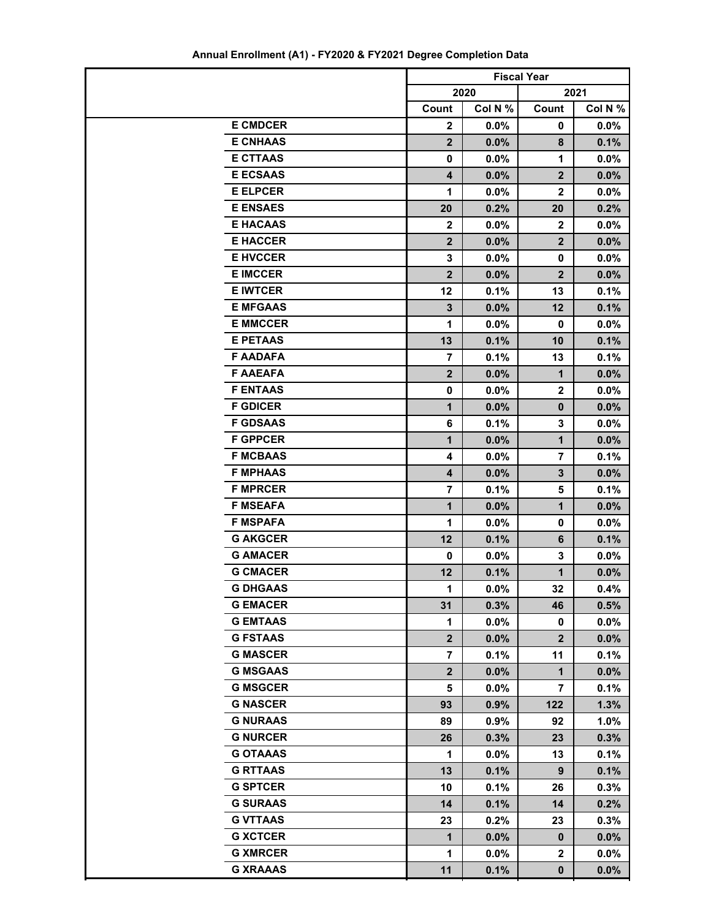|                                    | <b>Fiscal Year</b> |              |                |              |
|------------------------------------|--------------------|--------------|----------------|--------------|
|                                    | 2020               |              | 2021           |              |
|                                    | Count              | Col N %      | Count          | Col N %      |
| <b>E CMDCER</b>                    | $\boldsymbol{2}$   | $0.0\%$      | 0              | $0.0\%$      |
| <b>E CNHAAS</b>                    | $\overline{2}$     | 0.0%         | 8              | 0.1%         |
| <b>E CTTAAS</b>                    | 0                  | $0.0\%$      | 1              | $0.0\%$      |
| <b>E ECSAAS</b>                    | 4                  | 0.0%         | $\overline{2}$ | 0.0%         |
| <b>E ELPCER</b>                    | 1                  | 0.0%         | $\mathbf{2}$   | $0.0\%$      |
| <b>E ENSAES</b>                    | 20                 | 0.2%         | 20             | 0.2%         |
| <b>E HACAAS</b>                    | $\mathbf{2}$       | 0.0%         | $\mathbf{2}$   | $0.0\%$      |
| <b>E HACCER</b>                    | $\overline{2}$     | 0.0%         | $\overline{2}$ | 0.0%         |
| <b>E HVCCER</b>                    | 3                  | $0.0\%$      | 0              | $0.0\%$      |
| <b>E IMCCER</b>                    | $\overline{2}$     | 0.0%         | $\overline{2}$ | 0.0%         |
| <b>E IWTCER</b>                    | 12                 | 0.1%         | 13             | 0.1%         |
| <b>E MFGAAS</b>                    | $\mathbf{3}$       | 0.0%         | 12             | 0.1%         |
| <b>E MMCCER</b>                    | 1                  | $0.0\%$      | 0              | $0.0\%$      |
| <b>E PETAAS</b>                    | 13                 | 0.1%         | 10             | 0.1%         |
| <b>F AADAFA</b>                    | $\overline{7}$     | 0.1%         | 13             | 0.1%         |
| <b>F AAEAFA</b>                    | $\overline{2}$     | 0.0%         | 1              | $0.0\%$      |
| <b>F ENTAAS</b>                    | $\mathbf 0$        | $0.0\%$      | $\mathbf 2$    | $0.0\%$      |
| <b>F GDICER</b>                    | $\mathbf{1}$       | 0.0%         | 0              | 0.0%         |
| <b>F GDSAAS</b>                    | 6                  | 0.1%         | 3              | $0.0\%$      |
| <b>F GPPCER</b>                    | $\mathbf{1}$       | 0.0%         | $\mathbf 1$    | 0.0%         |
| <b>F MCBAAS</b>                    | 4                  | 0.0%         | 7              | 0.1%         |
| <b>F MPHAAS</b>                    | 4                  | 0.0%         | 3              | 0.0%         |
| <b>F MPRCER</b><br><b>F MSEAFA</b> | 7                  | 0.1%         | 5              | 0.1%         |
| <b>F MSPAFA</b>                    | $\mathbf{1}$       | 0.0%         | 1              | 0.0%         |
| <b>G AKGCER</b>                    | 1<br>12            | $0.0\%$      | 0<br>6         | $0.0\%$      |
| <b>G AMACER</b>                    | $\mathbf 0$        | 0.1%<br>0.0% | 3              | 0.1%<br>0.0% |
| <b>G CMACER</b>                    | 12                 | 0.1%         | $\mathbf 1$    | 0.0%         |
| <b>G DHGAAS</b>                    | 1                  | 0.0%         | 32             | 0.4%         |
| <b>G EMACER</b>                    | 31                 | 0.3%         | 46             | 0.5%         |
| <b>G EMTAAS</b>                    | $\mathbf 1$        | 0.0%         | $\mathbf 0$    | $0.0\%$      |
| <b>G FSTAAS</b>                    | 2 <sup>2</sup>     | 0.0%         | $\overline{2}$ | $0.0\%$      |
| <b>G MASCER</b>                    | 7                  | 0.1%         | 11             | 0.1%         |
| <b>G MSGAAS</b>                    | 2 <sup>2</sup>     | $0.0\%$      | $\mathbf{1}$   | $0.0\%$      |
| <b>G MSGCER</b>                    | 5                  | 0.0%         | $\overline{7}$ | 0.1%         |
| <b>G NASCER</b>                    | 93                 | 0.9%         | $122$          | 1.3%         |
| <b>G NURAAS</b>                    | 89                 | $0.9\%$      | 92             | 1.0%         |
| <b>G NURCER</b>                    | 26                 | 0.3%         | 23             | 0.3%         |
| <b>G OTAAAS</b>                    | $\mathbf{1}$       | 0.0%         | 13             | 0.1%         |
| <b>G RTTAAS</b>                    | 13                 | 0.1%         | 9              | 0.1%         |
| <b>G SPTCER</b>                    | 10                 | 0.1%         | 26             | 0.3%         |
| <b>G SURAAS</b>                    | 14                 | 0.1%         | 14             | 0.2%         |
| <b>G VTTAAS</b>                    | 23                 | 0.2%         | 23             | 0.3%         |
| <b>G XCTCER</b>                    | $\mathbf{1}$       | $0.0\%$      | $\mathbf 0$    | $0.0\%$      |
| <b>G XMRCER</b>                    | $\mathbf{1}$       | $0.0\%$      | $\mathbf{2}$   | $0.0\%$      |
| <b>G XRAAAS</b>                    | 11                 | 0.1%         | $\mathbf 0$    | $0.0\%$      |

**Annual Enrollment (A1) - FY2020 & FY2021 Degree Completion Data**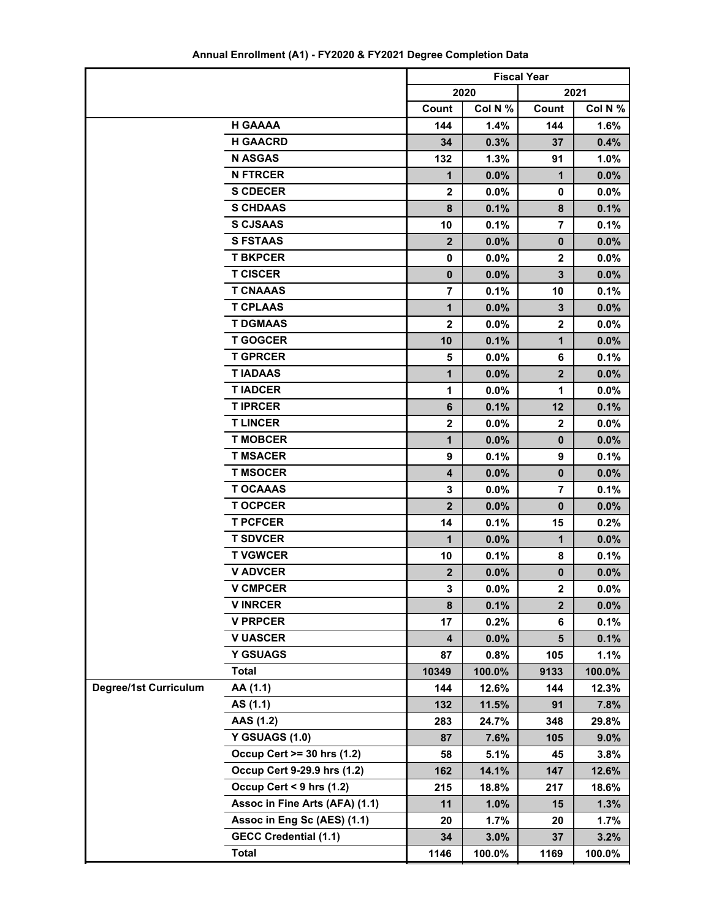|                              |                                | <b>Fiscal Year</b> |         |                  |         |
|------------------------------|--------------------------------|--------------------|---------|------------------|---------|
|                              |                                | 2020<br>2021       |         |                  |         |
|                              |                                | Count              | Col N % | Count            | Col N % |
|                              | <b>H GAAAA</b>                 | 144                | 1.4%    | 144              | 1.6%    |
|                              | <b>H GAACRD</b>                | 34                 | 0.3%    | 37               | 0.4%    |
|                              | <b>N ASGAS</b>                 | 132                | 1.3%    | 91               | 1.0%    |
|                              | <b>N FTRCER</b>                | 1                  | 0.0%    | $\mathbf 1$      | 0.0%    |
|                              | <b>S CDECER</b>                | $\overline{2}$     | 0.0%    | 0                | 0.0%    |
|                              | <b>S CHDAAS</b>                | 8                  | 0.1%    | 8                | 0.1%    |
|                              | <b>S CJSAAS</b>                | 10                 | 0.1%    | $\overline{7}$   | 0.1%    |
|                              | <b>S FSTAAS</b>                | $\mathbf{2}$       | 0.0%    | $\bf{0}$         | 0.0%    |
|                              | <b>T BKPCER</b>                | 0                  | 0.0%    | $\mathbf{2}$     | 0.0%    |
|                              | <b>T CISCER</b>                | $\mathbf{0}$       | 0.0%    | 3                | 0.0%    |
|                              | <b>T CNAAAS</b>                | $\overline{7}$     | 0.1%    | 10               | 0.1%    |
|                              | <b>T CPLAAS</b>                | $\mathbf{1}$       | 0.0%    | 3                | 0.0%    |
|                              | <b>T DGMAAS</b>                | $\mathbf{2}$       | $0.0\%$ | $\mathbf{2}$     | 0.0%    |
|                              | <b>T GOGCER</b>                | 10                 | 0.1%    | 1                | 0.0%    |
|                              | <b>T GPRCER</b>                | 5                  | 0.0%    | 6                | 0.1%    |
|                              | <b>TIADAAS</b>                 | 1                  | 0.0%    | $\boldsymbol{2}$ | 0.0%    |
|                              | <b>TIADCER</b>                 | 1                  | 0.0%    | 1                | 0.0%    |
|                              | <b>TIPRCER</b>                 | 6                  | 0.1%    | 12               | 0.1%    |
|                              | <b>TLINCER</b>                 | $\mathbf 2$        | $0.0\%$ | $\boldsymbol{2}$ | $0.0\%$ |
|                              | <b>T MOBCER</b>                | 1                  | 0.0%    | $\bf{0}$         | 0.0%    |
|                              | <b>T MSACER</b>                | 9                  | 0.1%    | 9                | 0.1%    |
|                              | <b>T MSOCER</b>                | 4                  | 0.0%    | $\mathbf 0$      | 0.0%    |
|                              | <b>T OCAAAS</b>                | 3                  | 0.0%    | $\overline{7}$   | 0.1%    |
|                              | <b>T OCPCER</b>                | $\overline{2}$     | 0.0%    | $\bf{0}$         | 0.0%    |
|                              | <b>T PCFCER</b>                | 14                 | 0.1%    | 15               | 0.2%    |
|                              | <b>T SDVCER</b>                | 1                  | 0.0%    | $\mathbf{1}$     | 0.0%    |
|                              | <b>T VGWCER</b>                | 10                 | 0.1%    | 8                | 0.1%    |
|                              | <b>V ADVCER</b>                | $\boldsymbol{2}$   | 0.0%    | $\bf{0}$         | 0.0%    |
|                              | <b>V CMPCER</b>                | 3                  | 0.0%    | $\mathbf{z}$     | 0.0%    |
|                              | <b>VINRCER</b>                 | 8                  | 0.1%    | $\overline{2}$   | 0.0%    |
|                              | <b>V PRPCER</b>                | 17                 | 0.2%    | 6                | 0.1%    |
|                              | <b>V UASCER</b>                | 4                  | 0.0%    | 5                | 0.1%    |
|                              | <b>Y GSUAGS</b>                | 87                 | 0.8%    | 105              | 1.1%    |
|                              | <b>Total</b>                   | 10349              | 100.0%  | 9133             | 100.0%  |
| <b>Degree/1st Curriculum</b> | AA (1.1)                       | 144                | 12.6%   | 144              | 12.3%   |
|                              | AS (1.1)                       | 132                | 11.5%   | 91               | 7.8%    |
|                              | AAS (1.2)                      | 283                | 24.7%   | 348              | 29.8%   |
|                              | <b>Y GSUAGS (1.0)</b>          | 87                 | 7.6%    | 105              | $9.0\%$ |
|                              | Occup Cert >= 30 hrs (1.2)     | 58                 | 5.1%    | 45               | 3.8%    |
|                              | Occup Cert 9-29.9 hrs (1.2)    | 162                | 14.1%   | 147              | 12.6%   |
|                              | Occup Cert < 9 hrs (1.2)       | 215                | 18.8%   | 217              | 18.6%   |
|                              | Assoc in Fine Arts (AFA) (1.1) | 11                 | 1.0%    | 15               | 1.3%    |
|                              | Assoc in Eng Sc (AES) (1.1)    | 20                 | 1.7%    | 20               | 1.7%    |
|                              | <b>GECC Credential (1.1)</b>   | 34                 | 3.0%    | 37               | 3.2%    |
|                              | <b>Total</b>                   | 1146               | 100.0%  | 1169             | 100.0%  |

**Annual Enrollment (A1) - FY2020 & FY2021 Degree Completion Data**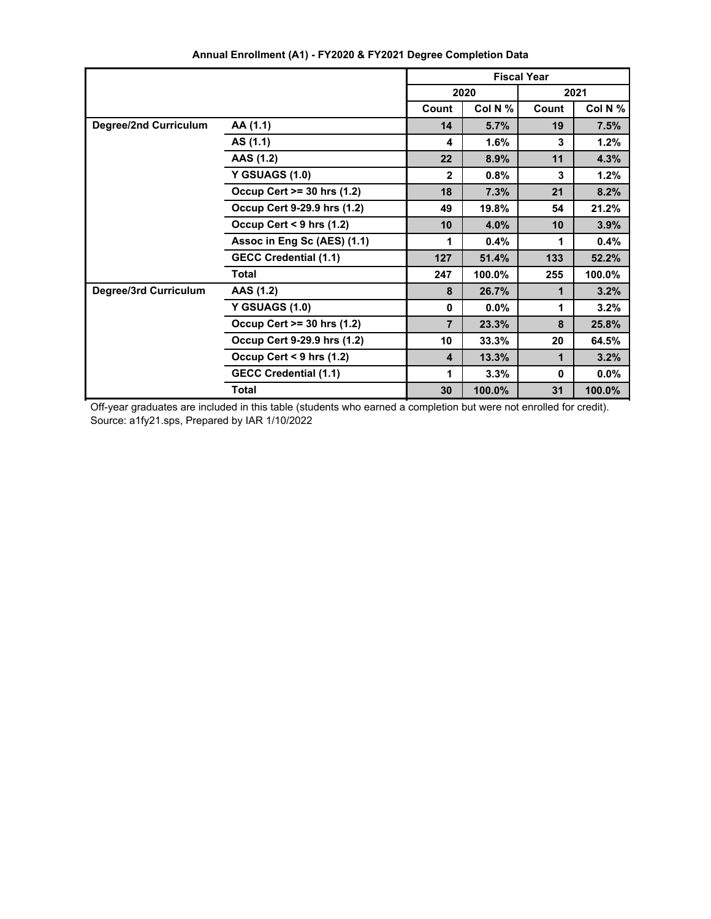|                              |                              | <b>Fiscal Year</b>      |         |       |         |
|------------------------------|------------------------------|-------------------------|---------|-------|---------|
|                              |                              | 2020                    |         | 2021  |         |
|                              |                              | Count                   | Col N % | Count | Col N % |
| <b>Degree/2nd Curriculum</b> | AA (1.1)                     | 14                      | 5.7%    | 19    | 7.5%    |
|                              | AS (1.1)                     | 4                       | 1.6%    | 3     | 1.2%    |
|                              | AAS (1.2)                    | 22                      | 8.9%    | 11    | 4.3%    |
|                              | <b>Y GSUAGS (1.0)</b>        | $\mathbf{2}$            | 0.8%    | 3     | 1.2%    |
|                              | Occup Cert >= 30 hrs (1.2)   | 18                      | 7.3%    | 21    | 8.2%    |
|                              | Occup Cert 9-29.9 hrs (1.2)  | 49                      | 19.8%   | 54    | 21.2%   |
|                              | Occup Cert < $9$ hrs (1.2)   | 10                      | 4.0%    | 10    | 3.9%    |
|                              | Assoc in Eng Sc (AES) (1.1)  | 1                       | 0.4%    | 1     | 0.4%    |
|                              | <b>GECC Credential (1.1)</b> | 127                     | 51.4%   | 133   | 52.2%   |
|                              | <b>Total</b>                 | 247                     | 100.0%  | 255   | 100.0%  |
| <b>Degree/3rd Curriculum</b> | AAS (1.2)                    | 8                       | 26.7%   | 1     | 3.2%    |
|                              | <b>Y GSUAGS (1.0)</b>        | $\mathbf{0}$            | $0.0\%$ | 1     | 3.2%    |
|                              | Occup Cert >= 30 hrs (1.2)   | $\overline{7}$          | 23.3%   | 8     | 25.8%   |
|                              | Occup Cert 9-29.9 hrs (1.2)  | 10                      | 33.3%   | 20    | 64.5%   |
|                              | Occup Cert < $9$ hrs (1.2)   | $\overline{\mathbf{4}}$ | 13.3%   | 1     | 3.2%    |
|                              | <b>GECC Credential (1.1)</b> | 1                       | 3.3%    | 0     | 0.0%    |
|                              | <b>Total</b>                 | 30                      | 100.0%  | 31    | 100.0%  |

**Annual Enrollment (A1) - FY2020 & FY2021 Degree Completion Data**

Off-year graduates are included in this table (students who earned a completion but were not enrolled for credit). Source: a1fy21.sps, Prepared by IAR 1/10/2022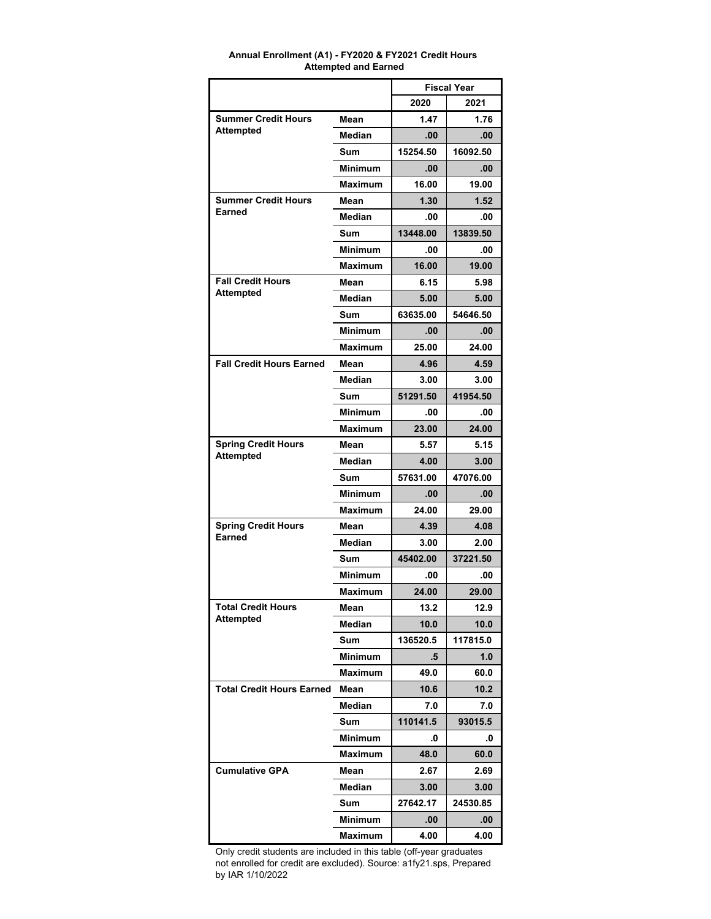|                                  |                | <b>Fiscal Year</b> |          |
|----------------------------------|----------------|--------------------|----------|
|                                  |                | 2020               | 2021     |
| <b>Summer Credit Hours</b>       | Mean           | 1.47               | 1.76     |
| Attempted                        | Median         | .00                | .00      |
|                                  | Sum            | 15254.50           | 16092.50 |
|                                  | <b>Minimum</b> | .00                | .00      |
|                                  | <b>Maximum</b> | 16.00              | 19.00    |
| <b>Summer Credit Hours</b>       | Mean           | 1.30               | 1.52     |
| Earned                           | <b>Median</b>  | .00                | .00      |
|                                  | Sum            | 13448.00           | 13839.50 |
|                                  | <b>Minimum</b> | .00                | .00      |
|                                  | <b>Maximum</b> | 16.00              | 19.00    |
| <b>Fall Credit Hours</b>         | Mean           | 6.15               | 5.98     |
| Attempted                        | Median         | 5.00               | 5.00     |
|                                  | Sum            | 63635.00           | 54646.50 |
|                                  | <b>Minimum</b> | .00                | .00      |
|                                  | <b>Maximum</b> | 25.00              | 24.00    |
| <b>Fall Credit Hours Earned</b>  | Mean           | 4.96               | 4.59     |
|                                  | Median         | 3.00               | 3.00     |
|                                  | Sum            | 51291.50           | 41954.50 |
|                                  | <b>Minimum</b> | .00                | .00      |
|                                  | <b>Maximum</b> | 23.00              | 24.00    |
| <b>Spring Credit Hours</b>       | Mean           | 5.57               | 5.15     |
| <b>Attempted</b>                 | Median         | 4.00               | 3.00     |
|                                  | Sum            | 57631.00           | 47076.00 |
|                                  | <b>Minimum</b> | .00                | .00      |
|                                  | <b>Maximum</b> | 24.00              | 29.00    |
| <b>Spring Credit Hours</b>       | Mean           | 4.39               | 4.08     |
| Earned                           | Median         | 3.00               | 2.00     |
|                                  | Sum            | 45402.00           | 37221.50 |
|                                  | <b>Minimum</b> | .00                | .00      |
|                                  | <b>Maximum</b> | 24.00              | 29.00    |
| <b>Total Credit Hours</b>        | Mean           | 13.2               | 12.9     |
| <b>Attempted</b>                 | Median         | 10.0               | 10.0     |
|                                  | Sum            | 136520.5           | 117815.0 |
|                                  | Minimum        | .5                 | 1.0      |
|                                  | <b>Maximum</b> | 49.0               | 60.0     |
| <b>Total Credit Hours Earned</b> | Mean           | 10.6               | 10.2     |
|                                  | Median         | 7.0                | 7.0      |
|                                  | Sum            | 110141.5           | 93015.5  |
|                                  | Minimum        | .0                 | .0       |
|                                  | Maximum        | 48.0               | 60.0     |
| <b>Cumulative GPA</b>            | Mean           | 2.67               | 2.69     |
|                                  | Median         | 3.00               | 3.00     |
|                                  | Sum            | 27642.17           | 24530.85 |
|                                  | Minimum        | .00                | .00      |
|                                  | Maximum        | 4.00               | 4.00     |

#### **Annual Enrollment (A1) - FY2020 & FY2021 Credit Hours Attempted and Earned**

Only credit students are included in this table (off-year graduates not enrolled for credit are excluded). Source: a1fy21.sps, Prepared by IAR 1/10/2022